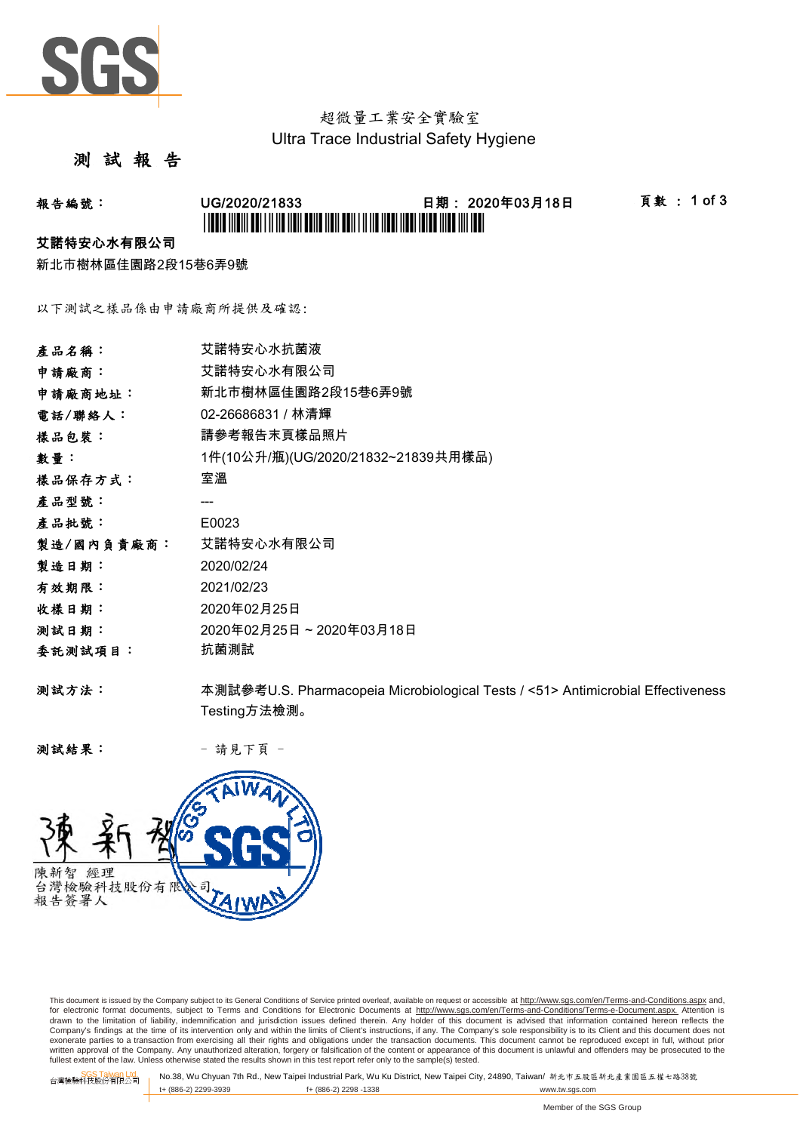

## 超微量工業安全實驗室 Ultra Trace Industrial Safety Hygiene

## 測 試 報 告

# 報告編號: UG/2020/21833 日期: 2020年03月18日 頁數 : 1 of 3 \* UGCO ANDIA OUT FAILY AND AUTO AUTO AUTO AUTO AND AUTO AUTO AND AND AUTO AUTO

#### 艾諾特安心水有限公司

新北市樹林區佳園路2段15巷6弄9號

以下測試之樣品係由申請廠商所提供及確認:

| 產品名稱:      | 艾諾特安心水抗菌液                                                                       |
|------------|---------------------------------------------------------------------------------|
| 申請廠商:      | 艾諾特安心水有限公司                                                                      |
| 申請廠商地址:    | 新北市樹林區佳園路2段15巷6弄9號                                                              |
| 電話/聯絡人:    | 02-26686831 / 林清輝                                                               |
| 樣品包裝:      | 請參考報告末頁樣品照片                                                                     |
| 數量:        | 1件(10公升/瓶)(UG/2020/21832~21839共用樣品)                                             |
| 樣品保存方式:    | 室溫                                                                              |
| 產品型號:      |                                                                                 |
| 產品批號:      | E0023                                                                           |
| 製造/國內負責廠商: | 艾諾特安心水有限公司                                                                      |
| 製造日期:      | 2020/02/24                                                                      |
| 有效期限:      | 2021/02/23                                                                      |
| 收樣日期:      | 2020年02月25日                                                                     |
| 测試日期:      | 2020年02月25日~2020年03月18日                                                         |
| 委託測試項目:    | 抗菌測試                                                                            |
| 测試方法:      | 本測試參考U.S. Pharmacopeia Microbiological Tests / <51> Antimicrobial Effectiveness |
|            | Testing方法檢測。                                                                    |

测試結果: - 請見下頁 -



This document is issued by the Company subject to its General Conditions of Service printed overleaf, available on request or accessible at http://www.sgs.com/en/Terms-and-Conditions.aspx and, for electronic format documents, subject to Terms and Conditions for Electronic Documents at <u>http://www.sqs.com/en/Terms-and-Conditions/Terms-e-Document.aspx.</u> Attention is<br>drawn to the limitation of liability, indemnific exonerate parties to a transaction from exercising all their rights and obligations under the transaction documents. This document cannot be reproduced except in full, without prior prior<br>written approval of the Company. A

SGS Taiwan Ltd. No.38, Wu Chyuan 7th Rd., New Taipei Industrial Park, Wu Ku District, New Taipei City, 24890, Taiwan/ 新北市五股區新北產業園區五權七路38號<br>| t+ (886-2) 2299-3939 f+ (886-2) 2298 -1338 www.tw. t+ (886-2) 2299-3939 f+ (886-2) 2298 -1338 www.tw.sgs.com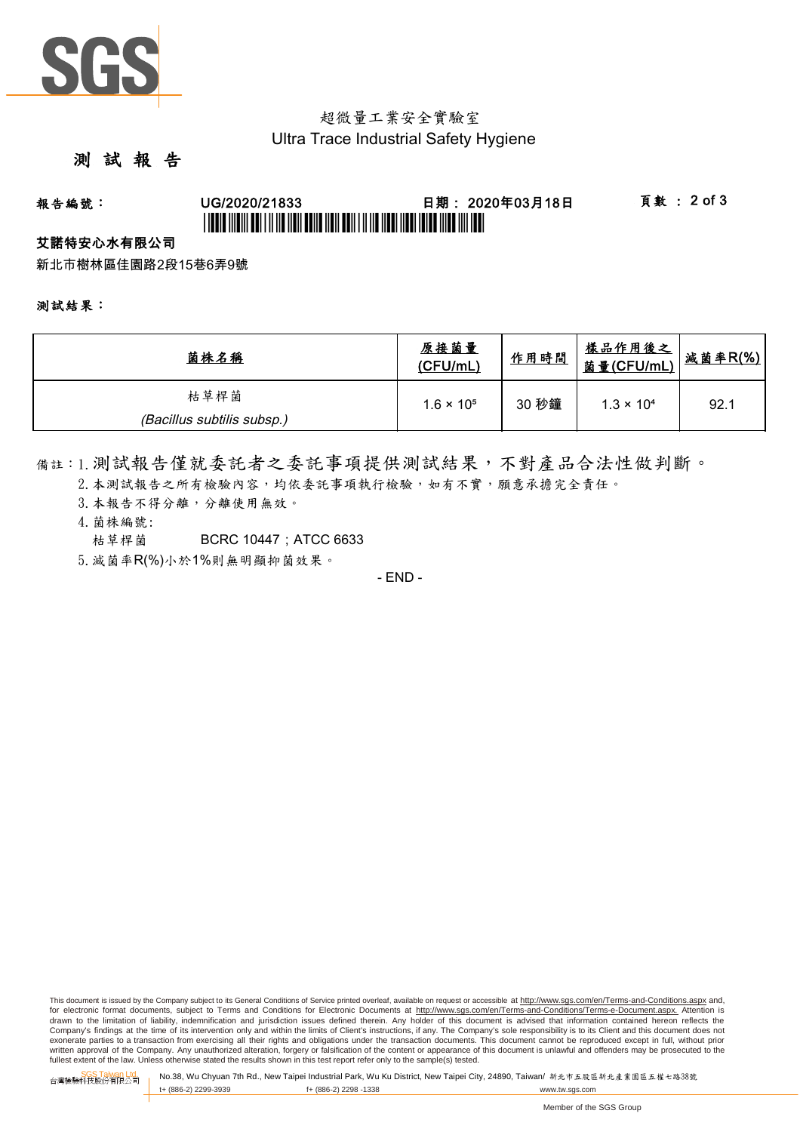

## 超微量工業安全實驗室 Ultra Trace Industrial Safety Hygiene

## 測 試 報 告

# 報告編號: UG/2020/21833 日期: 2020年03月18日 頁數 : 2 of 3 \*UGBIT INDIVI ABI I II IID NON BOND NON BON I II IID NOON NOOD INDO NIJD NIJ DI

#### 艾諾特安心水有限公司

新北市樹林區佳園路2段15巷6弄9號

#### 測試結果:

| 菌株名稱                       | 原接菌量<br>(CFU/mL)    | 作用時間  | <u>樣品作用後之</u><br>菌量(CFU/mL) | 减菌率R(%) |
|----------------------------|---------------------|-------|-----------------------------|---------|
| 枯草桿菌                       | $1.6 \times 10^{5}$ | 30 秒鐘 | $1.3 \times 10^{4}$         | 92.1    |
| (Bacillus subtilis subsp.) |                     |       |                             |         |

備註:1.測試報告僅就委託者之委託事項提供測試結果,不對產品合法性做判斷。

- 2. 本測試報告之所有檢驗內容,均依委託事項執行檢驗,如有不實,願意承擔完全責任。
- 3. 本報告不得分離,分離使用無效。
- 4.菌株編號:
	- 枯草桿菌 BCRC 10447 : ATCC 6633
- 5.減菌率R(%)小於1%則無明顯抑菌效果。

- END -

This document is issued by the Company subject to its General Conditions of Service printed overleaf, available on request or accessible at http://www.sqs.com/en/Terms-and-Conditions.aspx and, for electronic format documents, subject to Terms and Conditions for Electronic Documents at http://www.sgs.com/en/Terms-and-Conditions/Terms-e-Document.aspx. Attention is drawn to the limitation of liability, indemnification and jurisdiction issues defined therein. Any holder of this document is advised that information contained hereon reflects the<br>Company's findings at the time of its int exonerate parties to a transaction from exercising all their rights and obligations under the transaction documents. This document cannot be reproduced except in full, without prior written approval of the Company. Any unauthorized alteration, forgery or falsification of the content or appearance of this document is unlawful and offenders may be prosecuted to the<br>fullest extent of the law. Unless othe